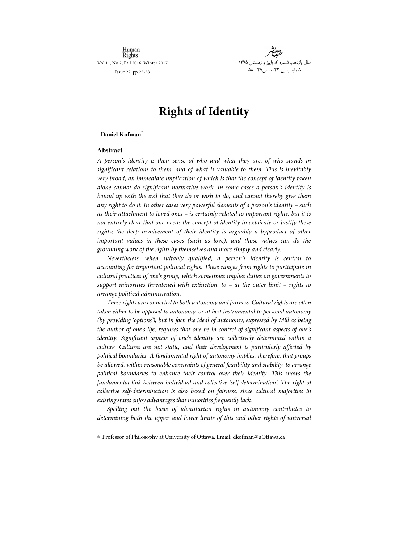Human Rights Vol.11, No.2, Fall 2016, Winter 2017

Issue 22, pp.25-58



# **Rights** of Identity

# **Daniel Kofman \***

# **Abstract**

j

A person's identity is their sense of who and what they are, of who stands in significant relations to them, and of what is valuable to them. This is inevitably very broad, an immediate implication of which is that the concept of identity taken alone cannot do significant normative work. In some cases a person's identity is bound up with the evil that they do or wish to do, and cannot thereby give them any right to do it. In other cases very powerful elements of a person's identity – such as their attachment to loved ones – is certainly related to important rights, but it is not entirely clear that one needs the concept of identity to explicate or justify these rights; the deep involvement of their identity is arguably a byproduct of other im portant values in these cases (such as love), and those values can do the grounding work of the rights by themselves and more simply and clearly.

Nevertheless, when suitably qualified, a person's identity is central to accounting for important political rights. These ranges from rights to participate in cultural practices of one's group, which sometimes implies duties on governments to support minorities threatened with extinction, to  $-$  at the outer limit  $-$  rights to arrange political administration.

These rights are connected to both autonomy and fairness. Cultural rights are often taken either to be opposed to autonomy, or at best instrumental to personal autonomy (by providing 'options'), but in fact, the ideal of autonomy, expressed by Mill as being the author of one's life, requires that one be in control of significant aspects of one's identity. Significant aspects of one's identity are collectively determined within a culture. Cultures are not static, and their development is particularly affected by political boundaries. A fundamental right of autonomy implies, therefore, that groups be allowed, within reasonable constraints of general feasibility and stability, to arrange political boundaries to enhance their control over their identity. This shows the fundamental link between individual and collective 'self-determination'. The right of collective self-determination is also based on fairness, since cultural majorities in existing states enjoy advantages that minorities frequently lack.

Spelling out the basis of identitarian rights in autonomy contributes to determining both the upper and lower limits of this and other rights of universal

<sup>\*</sup> Professor of Philosophy at University of Ottaw a. Email: dkofman@ uOttaw a.ca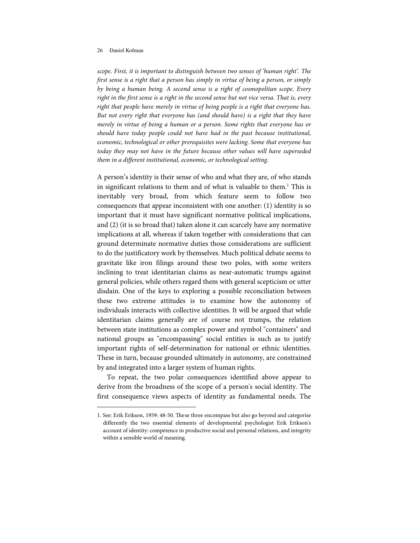l

scope. First, it is important to distinguish between two senses of 'human right'. The first sense is a right that a person has simply in virtue of being a person, or simply by being a human being. A second sense is a right of cosmopolitan scope. Every right in the first sense is a right in the second sense but not vice versa. That is, every right that people have merely in virtue of being people is a right that everyone has. But not every right that everyone has (and should have) is a right that they have merely in virtue of being a human or a person. Some rights that everyone has or should have today people could not have had in the past because institutional, economic, technological or other prerequisites were lacking. Some that everyone has today they may not have in the future because other values will have superseded them in a different institutional, economic, or technological setting.

A person's identity is their sense of who and what they are, of who stands in significant relations to them and of what is valuable to them.<sup>1</sup> This is inevitably very broad, from which feature seem to follow two consequences that appear inconsistent with one another:  $(1)$  identity is so important that it must have significant normative political implications, and (2) (it is so broad that) taken alone it can scarcely have any normative implications at all, whereas if taken together with considerations that can ground determinate normative duties those considerations are sufficient to do the justificatory work by themselves. Much political debate seems to gravitate like iron filings around these two poles, with some writers inclining to treat identitarian claims as near-automatic trumps against general policies, while others regard them with general scepticism or utter disdain. One of the keys to exploring a possible reconciliation between these two extreme attitudes is to examine how the autonomy of individuals interacts with collective identities. It will be argued that while identitarian claims generally are of course not trumps, the relation between state institutions as complex power and symbol "containers" and national groups as "encompassing" social entities is such as to justify important rights of self-determination for national or ethnic identities. These in turn, because grounded ultimately in autonomy, are constrained by and integrated into a larger system of human rights.

To repeat, the two polar consequences identified above appear to derive from the broadness of the scope of a person's social identity. The first consequence views aspects of identity as fundamental needs. The

<sup>1.</sup> See: Erik Erikson, 1959: 48-50. These three encompass but also go beyond and categorise differently the two essential elements of developmental psychologist Erik Erikson's account of identity: competence in productive social and personal relations, and integrity within a sensible world of meaning.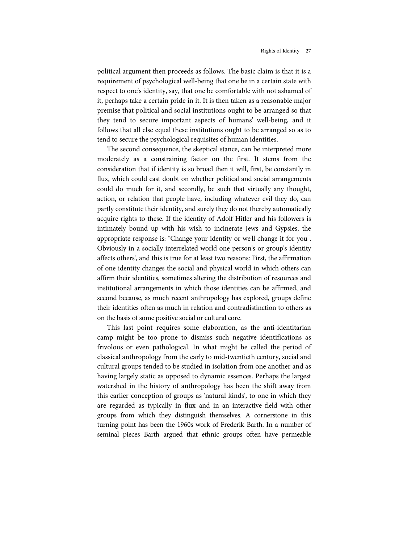political argument then proceeds as follows. The basic claim is that it is a requirement of psychological well-being that one be in a certain state with respect to one's identity, say, that one be comfortable with not ashamed of it, perhaps take a certain pride in it. It is then taken as a reasonable major premise that political and social institutions ought to be arranged so that they tend to secure important aspects of humans' well-being, and it follows that all else equal these institutions ought to be arranged so as to tend to secure the psychological requisites of human identities.

The second consequence, the skeptical stance, can be interpreted more moderately as a constraining factor on the first. It stems from the consideration that if identity is so broad then it will, first, be constantly in flux, which could cast doubt on whether political and social arrangements could do much for it, and secondly, be such that virtually any thought, action, or relation that people have, including whatever evil they do, can partly constitute their identity, and surely they do not thereby automatically acquire rights to these. If the identity of Adolf Hitler and his followers is intimately bound up with his wish to incinerate Jews and Gypsies, the appropriate response is: "Change your identity or we'll change it for you". Obviously in a socially interrelated world one person's or group's identity affects others', and this is true for at least two reasons: First, the affirmation of one identity changes the social and physical world in which others can affirm their identities, sometimes altering the distribution of resources and institutional arrangements in which those identities can be affirmed, and second because, as much recent anthropology has explored, groups define their identities often as much in relation and contradistinction to others as on the basis of some positive social or cultural core.

This last point requires some elaboration, as the anti-identitarian camp might be too prone to dismiss such negative identifications as frivolous or even pathological. In what might be called the period of classical anthropology from the early to mid-twentieth century, social and cultural groups tended to be studied in isolation from one another and as having largely static as opposed to dynamic essences. Perhaps the largest watershed in the history of anthropology has been the shift away from this earlier conception of groups as 'natural kinds', to one in which they are regarded as typically in flux and in an interactive field with other groups from which they distinguish themselves. A cornerstone in this turning point has been the 1960s work of Frederik Barth. In a number of seminal pieces Barth argued that ethnic groups often have permeable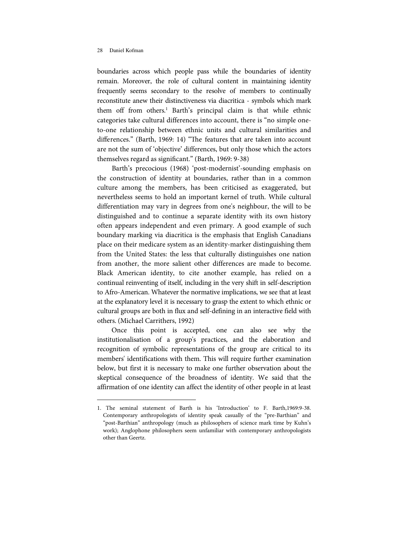l

boundaries across which people pass while the boundaries of identity remain. Moreover, the role of cultural content in maintaining identity frequently seems secondary to the resolve of members to continually reconstitute anew their distinctiveness via diacritica - symbols which mark them off from others.<sup>1</sup> Barth's principal claim is that while ethnic categories take cultural differences into account, there is "no simple oneto-one relationship between ethnic units and cultural similarities and differences." (Barth, 1969: 14) "The features that are taken into account are not the sum of 'objective' differences, but only those which the actors themselves regard as significant." (Barth, 1969: 9-38)

Barth's precocious (1968) 'post-modernist'-sounding emphasis on the construction of identity at boundaries, rather than in a common culture among the members, has been criticised as exaggerated, but nevertheless seems to hold an important kernel of truth. While cultural differentiation may vary in degrees from one's neighbour, the will to be distinguished and to continue a separate identity with its own history often appears independent and even primary. A good example of such boundary marking via diacritica is the emphasis that English Canadians place on their medicare system as an identity-marker distinguishing them from the United States: the less that culturally distinguishes one nation from another, the more salient other differences are made to become. Black American identity, to cite another example, has relied on a continual reinventing of itself, including in the very shift in self-description to Afro-American. Whatever the normative implications, we see that at least at the explanatory level it is necessary to grasp the extent to which ethnic or cultural groups are both in flux and self-defining in an interactive field with others. (Michael Carrithers, 1992)

Once this point is accepted, one can also see why the institutionalisation of a group's practices, and the elaboration and recognition of symbolic representations of the group are critical to its members' identifications with them. This will require further examination below, but first it is necessary to make one further observation about the skeptical consequence of the broadness of identity. We said that the affirmation of one identity can affect the identity of other people in at least

<sup>1.</sup> The seminal statement of Barth is his 'Introduction' to F. Barth,1969:9-38. Contemporary anthropologists of identity speak casually of the "pre-Barthian" and "post-Barthian" anthropology (much as philosophers of science mark time by Kuhn's work); Anglophone philosophers seem unfamiliar with contemporary anthropologists other than Geertz.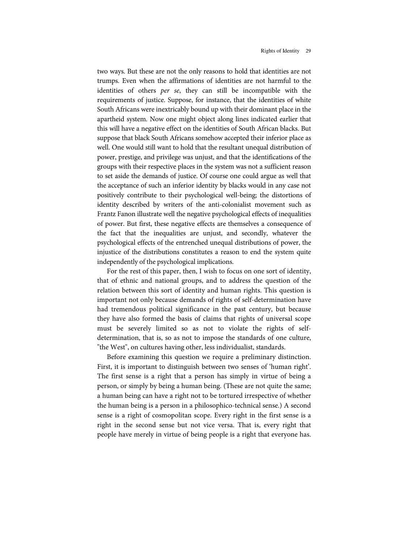two ways. But these are not the only reasons to hold that identities are not trumps. Even when the affirmations of identities are not harmful to the identities of others per se, they can still be incompatible with the requirements of justice. Suppose, for instance, that the identities of white South Africans were inextricably bound up with their dominant place in the apartheid system. Now one might object along lines indicated earlier that this will have a negative effect on the identities of South African blacks. But suppose that black South Africans somehow accepted their inferior place as well. One would still want to hold that the resultant unequal distribution of power, prestige, and privilege was unjust, and that the identifications of the groups with their respective places in the system was not a sufficient reason to set aside the demands of justice. Of course one could argue as well that the acceptance of such an inferior identity by blacks would in any case not positively contribute to their psychological well-being; the distortions of identity described by writers of the anti-colonialist movement such as Frantz Fanon illustrate well the negative psychological effects of inequalities of pow er. But first, these negative effects are themselves a consequence of the fact that the inequalities are unjust, and secondly, whatever the psychological effects of the entrenched unequal distributions of power, the injustice of the distributions constitutes a reason to end the system quite independently of the psychological implications.

For the rest of this paper, then, I wish to focus on one sort of identity, that of ethnic and national groups, and to address the question of the relation between this sort of identity and human rights. This question is important not only because demands of rights of self-determination have had tremendous political significance in the past century, but because they have also formed the basis of claims that rights of universal scope must be severely limited so as not to violate the rights of selfdetermination, that is, so as not to impose the standards of one culture, "the West", on cultures having other, less individualist, standards.

Before examining this question we require a preliminary distinction. First, it is important to distinguish between two senses of 'human right'. The first sense is a right that a person has simply in virtue of being a person, or simply by being a human being. (These are not quite the same; a human being can have a right not to be tortured irrespective of whether the human being is a person in a philosophico-technical sense.) A second sense is a right of cosmopolitan scope. Every right in the first sense is a right in the second sense but not vice versa. That is, every right that people have merely in virtue of being people is a right that everyone has.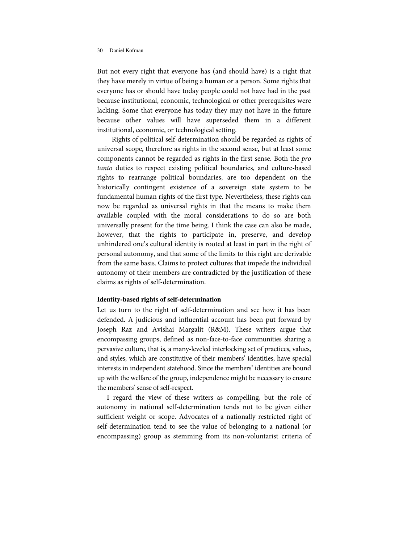But not every right that everyone has (and should have) is a right that they have merely in virtue of being a human or a person. Some rights that everyone has or should have today people could not have had in the past because institutional, economic, technological or other prerequisites were lacking. Some that everyone has today they may not have in the future because other values will have superseded them in a different institutional, economic, or technological setting.

Rights of political self-determination should be regarded as rights of universal scope, therefore as rights in the second sense, but at least some components cannot be regarded as rights in the first sense. Both the pro tanto duties to respect existing political boundaries, and culture-based rights to rearrange political boundaries, are too dependent on the historically contingent existence of a sovereign state system to be fundamental human rights of the first type. Nevertheless, these rights can now be regarded as universal rights in that the means to make them available coupled with the moral considerations to do so are both universally present for the time being. I think the case can also be made, however, that the rights to participate in, preserve, and develop unhindered one's cultural identity is rooted at least in part in the right of personal autonomy, and that some of the limits to this right are derivable from the same basis. Claims to protect cultures that impede the individual autonomy of their members are contradicted by the justification of these claims as rights of self-determination.

## **Identity-based rights of self-determination**

Let us turn to the right of self-determination and see how it has been defended. A judicious and influential account has been put forward by Joseph Raz and Avishai Margalit (R&M). These writers argue that encompassing groups, defined as non-face-to-face communities sharing a pervasive culture, that is, a many-leveled interlocking set of practices, values, and styles, which are constitutive of their members' identities, have special interests in independent statehood. Since the members' identities are bound up with the welfare of the group, independence might be necessary to ensure the members' sense of self-respect.

I regard the view of these writers as compelling, but the role of autonomy in national self-determination tends not to be given either sufficient weight or scope. Advocates of a nationally restricted right of self-determination tend to see the value of belonging to a national (or encompassing) group as stemming from its non-voluntarist criteria of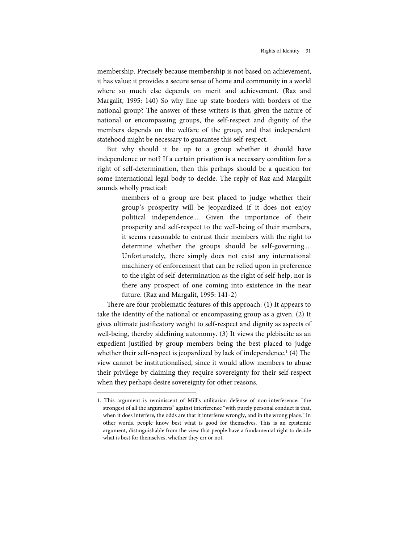membership. Precisely because membership is not based on achievement, it has value: it provides a secure sense of home and community in a world w here so much else depends on merit and achievement. (Raz and Margalit, 1995: 140) So why line up state borders with borders of the national group? The answer of these writers is that, given the nature of national or encompassing groups, the self-respect and dignity of the members depends on the welfare of the group, and that independent statehood might be necessary to guarantee this self-respect.

But why should it be up to a group whether it should have independence or not? If a certain privation is a necessary condition for a right of self-determination, then this perhaps should be a question for some international legal body to decide. The reply of Raz and Margalit sounds wholly practical:

> members of a group are best placed to judge whether their group's prosperity will be jeopardized if it does not enjoy political independence.... Given the importance of their prosperity and self-respect to the well-being of their members, it seems reasonable to entrust their members with the right to determine whether the groups should be self-governing.... Unfortunately, there simply does not exist any international machinery of enforcement that can be relied upon in preference to the right of self-determination as the right of self-help, nor is there any prospect of one coming into existence in the near future. (Raz and Margalit, 1995: 141-2)

There are four problematic features of this approach: (1) It appears to take the identity of the national or encompassing group as a given. (2) It gives ultimate justificatory weight to self-respect and dignity as aspects of well-being, thereby sidelining autonomy. (3) It views the plebiscite as an expedient justified by group members being the best placed to judge whether their self-respect is jeopardized by lack of independence.<sup>1</sup> (4) The view cannot be institutionalised, since it would allow members to abuse their privilege by claiming they require sovereignty for their self-respect when they perhaps desire sovereignty for other reasons.

l

<sup>1.</sup> This argument is reminiscent of Mill's utilitarian defense of non-interference: "the strongest of all the arguments" against interference "with purely personal conduct is that, when it does interfere, the odds are that it interferes wrongly, and in the wrong place." In other words, people know best what is good for themselves. This is an epistemic argument, distinguishable from the view that people have a fundamental right to decide what is best for themselves, whether they err or not.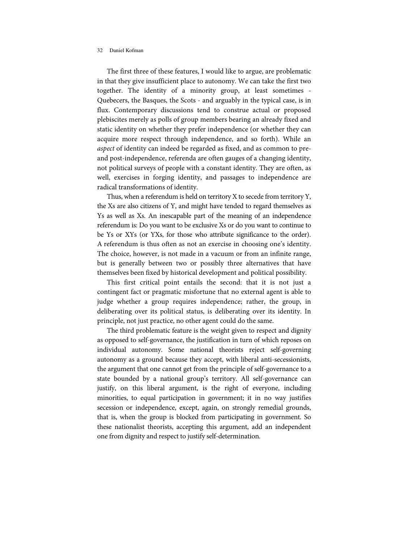The first three of these features, I would like to argue, are problematic in that they give insufficient place to autonomy. We can take the first two together. The identity of a minority group, at least sometimes - Quebecers, the Basques, the Scots - and arguably in the typical case, is in flux. Contemporary discussions tend to construe actual or proposed plebiscites merely as polls of group members bearing an already fixed and static identity on whether they prefer independence (or whether they can acquire more respect through independence, and so forth). While an aspect of identity can indeed be regarded as fixed, and as common to preand post-independence, referenda are often gauges of a changing identity, not political surveys of people with a constant identity. They are often, as well, exercises in forging identity, and passages to independence are radical transformations of identity.

Thus, when a referendum is held on territory X to secede from territory Y, the Xs are also citizens of Y, and might have tended to regard themselves as Ys as well as Xs. An inescapable part of the meaning of an independence referendum is: Do you want to be exclusive Xs or do you want to continue to be Ys or XYs (or YXs, for those who attribute significance to the order). A referendum is thus often as not an exercise in choosing one's identity. The choice, however, is not made in a vacuum or from an infinite range, but is generally between two or possibly three alternatives that have themselves been fixed by historical development and political possibility.

This first critical point entails the second: that it is not just a contingent fact or pragmatic misfortune that no external agent is able to judge whether a group requires independence; rather, the group, in deliberating over its political status, is deliberating over its identity. In principle, not just practice, no other agent could do the same.

The third problematic feature is the weight given to respect and dignity as opposed to self-governance, the justification in turn of which reposes on individual autonomy. Some national theorists reject self-governing autonomy as a ground because they accept, with liberal anti-secessionists, the argument that one cannot get from the principle of self-governance to a state bounded by a national group's territory. All self-governance can justify, on this liberal argument, is the right of everyone, including minorities, to equal participation in government; it in no way justifies secession or independence, except, again, on strongly remedial grounds, that is, w hen the group is blocked from participating in government. So these nationalist theorists, accepting this argument, add an independent one from dignity and respect to justify self-determination.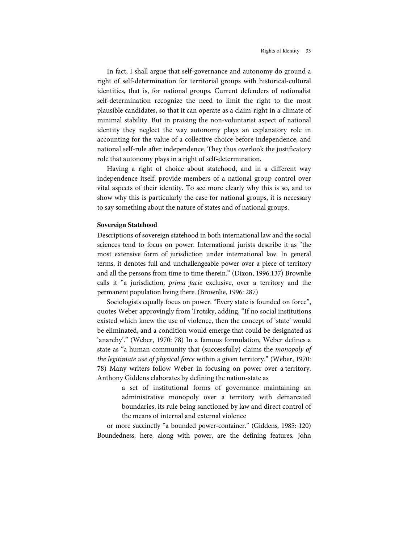In fact, I shall argue that self-governance and autonomy do ground a right of self-determination for territorial groups with historical-cultural identities, that is, for national groups. Current defenders of nationalist self-determination recognize the need to limit the right to the most plausible candidates, so that it can operate as a claim-right in a climate of minimal stability. But in praising the non-voluntarist aspect of national identity they neglect the way autonomy plays an explanatory role in accounting for the value of a collective choice before independence, and national self-rule after independence. They thus overlook the justificatory role that autonomy plays in a right of self-determination.

Having a right of choice about statehood, and in a different way independence itself, provide members of a national group control over vital aspects of their identity. To see more clearly why this is so, and to show why this is particularly the case for national groups, it is necessary to say something about the nature of states and of national groups.

# **Sovereign Statehood**

Descriptions of sovereign statehood in both international law and the social sciences tend to focus on power. International jurists describe it as "the most extensive form of jurisdiction under international law . In general terms, it denotes full and unchallengeable power over a piece of territory and all the persons from time to time therein." (Dixon, 1996:137) Brownlie calls it "a jurisdiction, *prima facie* exclusive, over a territory and the permanent population living there. (Brownlie, 1996: 287)

Sociologists equally focus on power. "Every state is founded on force", quotes Weber approvingly from Trotsky, adding, "If no social institutions existed which knew the use of violence, then the concept of 'state' would be eliminated, and a condition would emerge that could be designated as 'anarchy'." (Weber, 1970: 78) In a famous formulation, Weber defines a state as "a human community that (successfully) claims the *monopoly of* the legitimate use of physical force within a given territory." (Weber, 1970: 78) Many writers follow Weber in focusing on power over a territory. Anthony Giddens elaborates by defining the nation-state as

> a set of institutional forms of governance maintaining an administrative monopoly over a territory with demarcated boundaries, its rule being sanctioned by law and direct control of the means of internal and external violence

or more succinctly "a bounded power-container." (Giddens, 1985: 120) Boundedness, here, along with power, are the defining features. John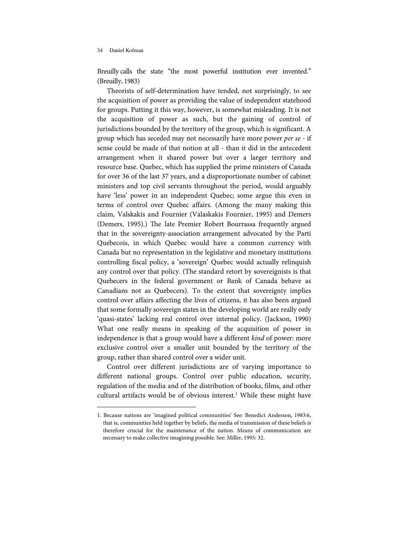l

Breuilly calls the state "the most powerful institution ever invented." (Breuilly, 1983)

Theorists of self-determination have tended, not surprisingly, to see the acquisition of power as providing the value of independent statehood for groups. Putting it this way, however, is somewhat misleading. It is not the acquisition of power as such, but the gaining of control of jurisdictions bounded by the territory of the group, which is significant. A group which has seceded may not necessarily have more power per se - if sense could be made of that notion at all- than it did in the antecedent arrangement when it shared power but over a larger territory and resource base. Quebec, which has supplied the prime ministers of Canada for over 36 of the last 37 years, and a disproportionate number of cabinet ministers and top civil servants throughout the period, would arguably have 'less' power in an independent Quebec; some argue this even in terms of control over Quebec affairs. (Among the many making this claim, Valskakis and Fournier (Valaskakis Fournier, 1995) and Demers (Demers, 1995).) The late Premier Robert Bourrassa frequently argued that in the sovereignty-association arrangement advocated by the Parti Quebecois, in which Quebec would have a common currency with Canada but no representation in the legislative and monetary institutions controlling fiscal policy, a 'sovereign' Quebec would actually relinquish any control over that policy. (The standard retort by sovereignists is that Quebecers in the federal government or Bank of Canada behave as Canadians not as Quebecers). To the extent that sovereignty implies control over affairs affecting the lives of citizens, it has also been argued that some formally sovereign states in the developing world are really only 'quasi-states' lacking real control over internal policy. (Jackson, 1990) What one really means in speaking of the acquisition of power in independence is that a group would have a different kind of power: more exclusive control over a smaller unit bounded by the territory of the group, rather than shared control over a wider unit.

Control over different jurisdictions are of varying importance to different national groups. Control over public education, security, regulation of the media and of the distribution of books, films, and other cultural artifacts would be of obvious interest.<sup>1</sup> While these might have

<sup>1.</sup> Because nations are 'imagined political communities' See: Benedict Anderson, 1983:6, that is, communities held together by beliefs, the media of transmission of these beliefs is therefore crucial for the maintenance of the nation. Means of communication are necessary to make collective imagining possible. See: Miller, 1995: 32.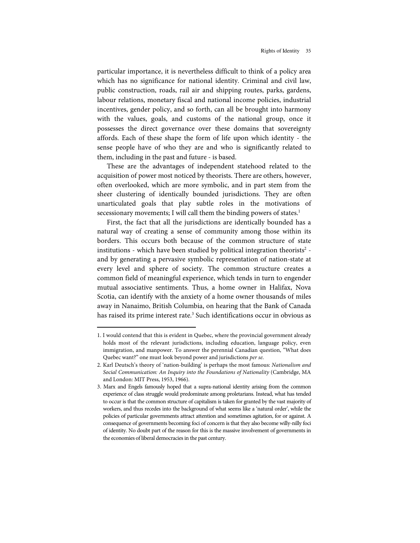particular importance, it is nevertheless difficult to think of a policy area which has no significance for national identity. Criminal and civil law, public construction, roads, rail air and shipping routes, parks, gardens, labour relations, monetary fiscal and national income policies, industrial incentives, gender policy, and so forth, can all be brought into harmony with the values, goals, and customs of the national group, once it possesses the direct governance over these domains that sovereignty affords. Each of these shape the form of life upon w hich identity - the sense people have of who they are and who is significantly related to them, including in the past and future - is based.

These are the advantages of independent statehood related to the acquisition of power most noticed by theorists. There are others, however, often overlooked, which are more symbolic, and in part stem from the sheer clustering of identically bounded jurisdictions. They are often unarticulated goals that play subtle roles in the motivations of secessionary movements; I will call them the binding powers of states.<sup>1</sup>

First, the fact that all the jurisdictions are identically bounded has a natural way of creating a sense of community among those within its borders. This occurs both because of the common structure of state institutions - which have been studied by political integration theorists<sup>2</sup> and by generating a pervasive symbolic representation of nation-state at every level and sphere of society. The common structure creates a common field of meaningful experience, which tends in turn to engender mutual associative sentiments. Thus, a home owner in Halifax, Nova Scotia, can identify with the anxiety of a home owner thousands of miles away in Nanaimo, British Columbia, on hearing that the Bank of Canada has raised its prime interest rate. <sup>3</sup> Such identifications occur in obvious as

l

<sup>1.</sup> I would contend that this is evident in Quebec, where the provincial government already holds most of the relevant jurisdictions, including education, language policy, even immigration, and manpower. To answer the perennial Canadian question, "What does Quebec want?" one must look beyond power and jurisdictions per se.

<sup>2.</sup> Karl Deutsch's theory of 'nation-building' is perhaps the most famous: Nationalism and Social Communication: An Inquiry into the Foundations of Nationality (Cambridge, MA and London: MIT Press, 1953, 1966).

<sup>3.</sup> Marx and Engels famously hoped that a supra-nationalidentity arising from the common experience of class struggle would predominate among proletarians. Instead, what has tended to occur is that the common structure of capitalism is taken for granted by the vast majority of workers, and thus recedes into the background of what seems like a 'natural order', while the policies of particular governments attract attention and sometimes agitation, for or against. A consequence of governments becoming foci of concern is that they also become willy-nilly foci of identity. No doubt part of the reason for this is the massive involvement of governments in the economies of liberal democracies in the past century.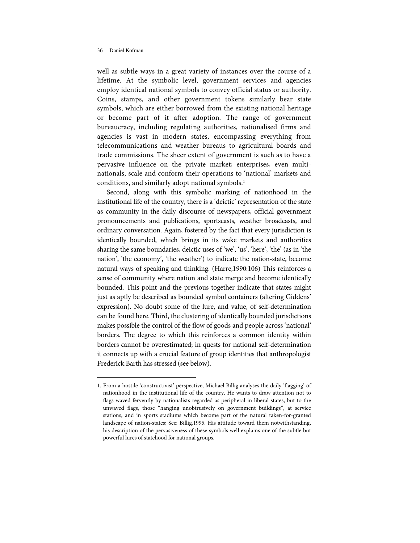j

well as subtle ways in a great variety of instances over the course of a lifetime. At the symbolic level, government services and agencies employ identical national symbols to convey official status or authority. Coins, stamps, and other government tokens similarly bear state symbols, which are either borrowed from the existing national heritage or become part of it after adoption. The range of government bureaucracy, including regulating authorities, nationalised firms and agencies is vast in modern states, encompassing everything from telecommunications and weather bureaus to agricultural boards and trade commissions. The sheer extent of government is such as to have a pervasive influence on the private market; enterprises, even multinationals, scale and conform their operations to 'national' markets and conditions, and similarly adopt national symbols.<sup>1</sup>

Second, along with this symbolic marking of nationhood in the institutional life of the country, there is a 'deictic' representation of the state as community in the daily discourse of newspapers, official government pronouncements and publications, sportscasts, weather broadcasts, and ordinary conversation. Again, fostered by the fact that every jurisdiction is identically bounded, which brings in its wake markets and authorities sharing the same boundaries, deictic uses of 'we', 'us', 'here', 'the' (as in 'the nation', 'the economy', 'the weather') to indicate the nation-state, become natural ways of speaking and thinking. (Harre,1990:106) This reinforces a sense of community where nation and state merge and become identically bounded. This point and the previous together indicate that states might just as aptly be described as bounded symbol containers (altering Giddens' expression). No doubt some of the lure, and value, of self-determination can be found here. Third, the clustering of identically bounded jurisdictions makes possible the control of the flow of goods and people across 'national' borders. The degree to which this reinforces a common identity within borders cannot be overestimated; in quests for national self-determination it connects up with a crucial feature of group identities that anthropologist Frederick Barth has stressed (see below).

<sup>1.</sup> From a hostile 'constructivist' perspective, Michael Billig analyses the daily 'flagging' of nationhood in the institutional life of the country. He wants to draw attention not to flags waved fervently by nationalists regarded as peripheral in liberal states, but to the unw aved flags, those "hanging unobtrusively on government buildings", at service stations, and in sports stadiums which become part of the natural taken-for-granted landscape of nation-states; See: Billig,1995. His attitude toward them notwithstanding, his description of the pervasiveness of these symbols well explains one of the subtle but powerful lures of statehood for national groups.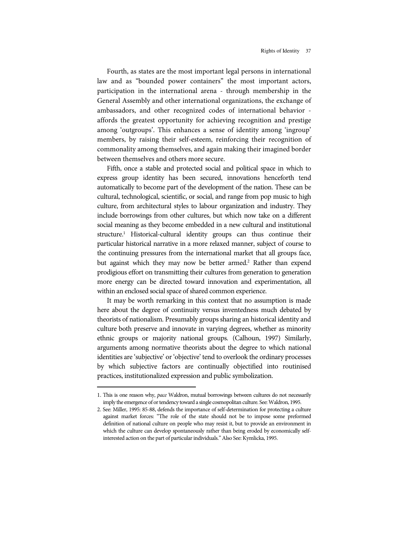Fourth, as states are the most important legal persons in international law and as "bounded power containers" the most important actors, participation in the international arena - through membership in the General Assembly and other international organizations, the exchange of ambassadors, and other recognized codes of international behavior affords the greatest opportunity for achieving recognition and prestige among 'outgroups'. This enhances a sense of identity among 'ingroup' members, by raising their self-esteem, reinforcing their recognition of commonality among themselves, and again making their imagined border between themselves and others more secure.

Fifth, once a stable and protected social and political space in which to express group identity has been secured, innovations henceforth tend automatically to become part of the development of the nation. These can be cultural, technological, scientific, or social, and range from pop music to high culture, from architectural styles to labour organization and industry. They include borrowings from other cultures, but which now take on a different social meaning as they become embedded in a new cultural and institutional structure. <sup>1</sup> Historical-cultural identity groups can thus continue their particular historical narrative in a more relaxed manner, subject of course to the continuing pressures from the international market that all groups face, but against which they may now be better armed.<sup>2</sup> Rather than expend prodigious effort on transmitting their cultures from generation to generation more energy can be directed toward innovation and experimentation, all within an enclosed social space of shared common experience.

It may be worth remarking in this context that no assumption is made here about the degree of continuity versus inventedness much debated by theorists of nationalism. Presumably groups sharing an historical identity and culture both preserve and innovate in varying degrees, whether as minority ethnic groups or majority national groups. (Calhoun, 1997) Similarly, arguments among normative theorists about the degree to which national identities are 'subjective' or 'objective' tend to overlook the ordinary processes by which subjective factors are continually objectified into routinised practices, institutionalized expression and public symbolization.

j

<sup>1.</sup> This is one reason why, pace Waldron, mutual borrowings between cultures do not necessarily imply the emergence of or tendency toward a single cosmopolitan culture. See: Waldron, 1995.

<sup>2.</sup> See: Miller, 1995: 85-88, defends the importance of self-determination for protecting a culture against market forces: "The role of the state should not be to impose some preformed definition of national culture on people who may resist it, but to provide an environment in which the culture can develop spontaneously rather than being eroded by economically selfinterested action on the part of particular individuals." Also See: Kymlicka, 1995.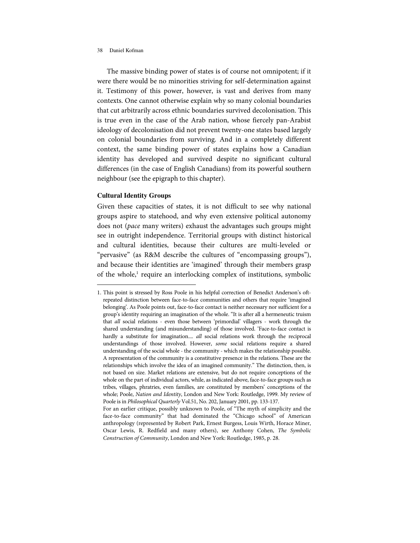The massive binding power of states is of course not omnipotent; if it were there would be no minorities striving for self-determination against it. Testimony of this power, however, is vast and derives from many contexts. One cannot otherwise explain why so many colonial boundaries that cut arbitrarily across ethnic boundaries survived decolonisation. This is true even in the case of the Arab nation, whose fiercely pan-Arabist ideology of decolonisation did not prevent twenty-one states based largely on colonial boundaries from surviving. And in a completely different context, the same binding power of states explains how a Canadian identity has developed and survived despite no significant cultural differences (in the case of English Canadians) from its powerful southern neighbour (see the epigraph to this chapter).

# **Cultural Identity Groups**

l

Given these capacities of states, it is not difficult to see why national groups aspire to statehood, and why even extensive political autonomy does not (pace many writers) exhaust the advantages such groups might see in outright independence. Territorial groups with distinct historical and cultural identities, because their cultures are multi-leveled or "pervasive" (as R&M describe the cultures of "encompassing groups"), and because their identities are 'imagined' through their members grasp of the whole,<sup>1</sup> require an interlocking complex of institutions, symbolic

<sup>1.</sup> This point is stressed by Ross Poole in his helpful correction of Benedict Anderson's oftrepeated distinction between face-to-face communities and others that require 'imagined belonging'. As Poole points out, face-to-face contact is neither necessary nor sufficient for a group's identity requiring an imagination of the whole. "It is after all a hermeneutic truism that all social relations - even those between 'primordial' villagers - work through the shared understanding (and misunderstanding) of those involved. 'Face-to-face contact is hardly a substitute for imagination.... all social relations work through the reciprocal understandings of those involved. However, some social relations require a shared understanding of the social whole - the community - which makes the relationship possible. A representation of the community is a constitutive presence in the relations. These are the relationships which involve the idea of an imagined community." The distinction, then, is not based on size. Market relations are extensive, but do not require conceptions of the whole on the part of individual actors, while, as indicated above, face-to-face groups such as tribes, villages, phratries, even families, are constituted by members' conceptions of the whole; Poole, Nation and Identity, London and New York: Routledge, 1999. My review of Poole is in Philosophical Quarterly Vol.51, No. 202, January 2001, pp. 133-137.

For an earlier critique, possibly unknown to Poole, of "The myth of simplicity and the face-to-face community" that had dominated the "Chicago school" of American anthropology (represented by Robert Park, Ernest Burgess, Louis Wirth, Horace Miner, Oscar Lewis, R. Redfield and many others), see Anthony Cohen, The Symbolic Construction of Community, London and New York: Routledge, 1985, p. 28.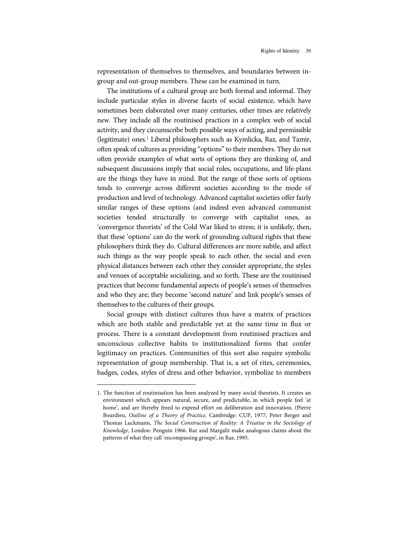representation of themselves to themselves, and boundaries between ingroup and out-group members. These can be examined in turn.

The institutions of a cultural group are both formal and informal. They include particular styles in diverse facets of social existence, which have sometimes been elaborated over many centuries, other times are relatively new. They include all the routinised practices in a complex web of social activity, and they circumscribe both possible ways of acting, and permissible (legitimate) ones.<sup>1</sup> Liberal philosophers such as Kymlicka, Raz, and Tamir, often speak of cultures as providing "options" to their members. They do not often provide examples of what sorts of options they are thinking of, and subsequent discussions imply that social roles, occupations, and life-plans are the things they have in mind. But the range of these sorts of options tends to converge across different societies according to the mode of production and level of technology. Advanced capitalist societies offer fairly similar ranges of these options (and indeed even advanced communist societies tended structurally to converge with capitalist ones, as 'convergence theorists' of the Cold War liked to stress; it is unlikely, then, that these 'options' can do the work of grounding cultural rights that these philosophers think they do. Cultural differences are more subtle, and affect such things as the way people speak to each other, the social and even physical distances between each other they consider appropriate, the styles and venues of acceptable socializing, and so forth. These are the routinised practices that become fundamental aspects of people's senses of themselves and who they are; they become 'second nature' and link people's senses of themselves to the cultures of their groups.

Social groups with distinct cultures thus have a matrix of practices which are both stable and predictable yet at the same time in flux or process. There is a constant development from routinised practices and unconscious collective habits to institutionalized forms that confer legitimacy on practices. Communities of this sort also require symbolic representation of group membership. That is, a set of rites, ceremonies, badges, codes, styles of dress and other behavior, symbolize to members

l

<sup>1.</sup> The function of routinisation has been analyzed by many social theorists. It creates an environment which appears natural, secure, and predictable, in which people feel 'at home', and are thereby freed to expend effort on deliberation and innovation. (Pierre Bourdieu, Outline of a Theory of Practice, Cambridge: CUP, 1977; Peter Berger and Thomas Luckmann, The Social Construction of Reality: A Treatise in the Sociology of Knowledge, London: Penguin 1966. Raz and Margalit make analogous claims about the patterns of what they call 'encompassing groups', in Raz, 1995.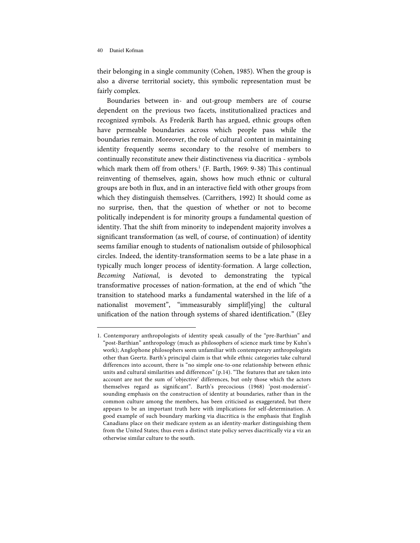l

their belonging in a single community (Cohen, 1985). When the group is also a diverse territorial society, this symbolic representation must be fairly complex.

Boundaries between in- and out-group members are of course dependent on the previous two facets, institutionalized practices and recognized symbols. As Frederik Barth has argued, ethnic groups often have permeable boundaries across which people pass while the boundaries remain. Moreover, the role of cultural content in maintaining identity frequently seems secondary to the resolve of members to continually reconstitute anew their distinctiveness via diacritica - symbols which mark them off from others.<sup>1</sup> (F. Barth, 1969: 9-38) This continual reinventing of themselves, again, shows how much ethnic or cultural groups are both in flux, and in an interactive field with other groups from which they distinguish themselves. (Carrithers, 1992) It should come as no surprise, then, that the question of whether or not to become politically independent is for minority groups a fundamental question of identity. That the shift from minority to independent majority involves a significant transformation (as well, of course, of continuation) of identity seems familiar enough to students of nationalism outside of philosophical circles. Indeed, the identity-transformation seems to be a late phase in a typically much longer process of identity-formation. A large collection, Becoming National, is devoted to demonstrating the typical transformative processes of nation-formation, at the end of which "the transition to statehood marks a fundamental watershed in the life of a nationalist movement", "immeasurably simplif[ying] the cultural unification of the nation through systems of shared identification." (Eley

<sup>1.</sup> Contemporary anthropologists of identity speak casually of the "pre-Barthian" and "post-Barthian" anthropology (much as philosophers of science mark time by Kuhn's work); Anglophone philosophers seem unfamiliar with contemporary anthropologists other than Geertz. Barth's principal claim is that while ethnic categories take cultural differences into account, there is "no simple one-to-one relationship between ethnic units and cultural similarities and differences" (p.14). "The features that are taken into account are not the sum of 'objective' differences, but only those which the actors themselves regard as significant". Barth's precocious (1968) 'post-modernist'sounding emphasis on the construction of identity at boundaries, rather than in the common culture among the members, has been criticised as exaggerated, but there appears to be an important truth here with implications for self-determination. A good example of such boundary marking via diacritica is the emphasis that English Canadians place on their medicare system as an identity-marker distinguishing them from the United States; thus even a distinct state policy serves diacritically viz a viz an otherwise similar culture to the south.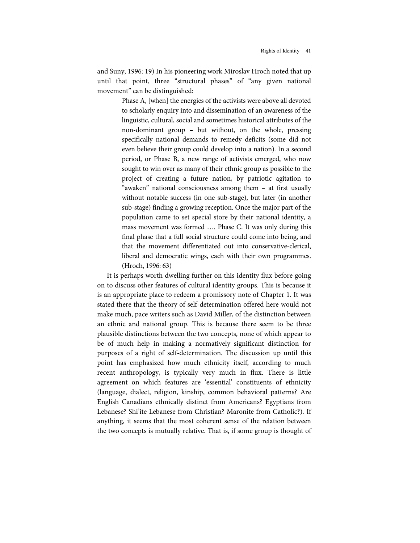and Suny, 1996: 19) In his pioneering work Miroslav Hroch noted that up until that point, three "structural phases" of "any given national movement" can be distinguished:

> Phase A, [when] the energies of the activists were above all devoted to scholarly enquiry into and dissemination of an awareness of the linguistic, cultural, social and sometimes historical attributes of the non-dominant group – but without, on the whole, pressing specifically national demands to remedy deficits (some did not even believe their group could develop into a nation). In a second period, or Phase B, a new range of activists emerged, who now sought to win over as many of their ethnic group as possible to the project of creating a future nation, by patriotic agitation to "aw aken" national consciousness among them – at first usually without notable success (in one sub-stage), but later (in another sub-stage) finding a growing reception. Once the major part of the population came to set special store by their national identity, a mass movement was formed .... Phase C. It was only during this final phase that a full social structure could come into being, and that the movement differentiated out into conservative-clerical, liberal and democratic wings, each with their own programmes. (Hroch, 1996: 63)

It is perhaps worth dwelling further on this identity flux before going on to discuss other features of cultural identity groups. This is because it is an appropriate place to redeem a promissory note of Chapter 1. It was stated there that the theory of self-determination offered here would not make much, pace writers such as David Miller, of the distinction between an ethnic and national group. This is because there seem to be three plausible distinctions between the two concepts, none of which appear to be of much help in making a normatively significant distinction for purposes of a right of self-determination. The discussion up until this point has emphasized how much ethnicity itself, according to much recent anthropology, is typically very much in flux. There is little agreement on which features are 'essential' constituents of ethnicity (language, dialect, religion, kinship, common behavioral patterns? Are English Canadians ethnically distinct from Americans? Egyptians from Lebanese? Shi'ite Lebanese from Christian? Maronite from Catholic?). If anything, it seems that the most coherent sense of the relation between the two concepts is mutually relative. That is, if some group is thought of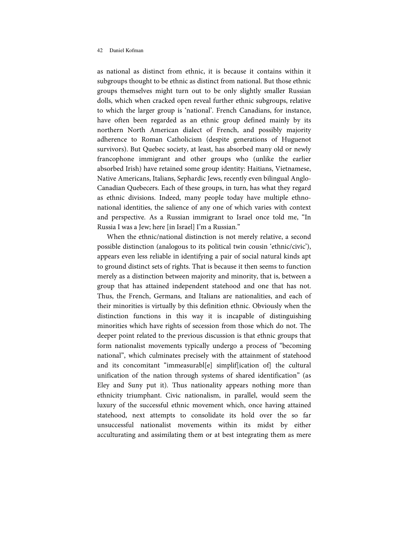as national as distinct from ethnic, it is because it contains within it subgroups thought to be ethnic as distinct from national. But those ethnic groups themselves might turn out to be only slightly smaller Russian dolls, which when cracked open reveal further ethnic subgroups, relative to which the larger group is 'national'. French Canadians, for instance, have often been regarded as an ethnic group defined mainly by its northern North American dialect of French, and possibly majority adherence to Roman Catholicism (despite generations of Huguenot survivors). But Quebec society, at least, has absorbed many old or newly francophone immigrant and other groups who (unlike the earlier absorbed Irish) have retained some group identity: Haitians, Vietnamese, Native Americans, Italians, Sephardic Jews, recently even bilingual Anglo-Canadian Quebecers. Each of these groups, in turn, has what they regard as ethnic divisions. Indeed, many people today have multiple ethnonational identities, the salience of any one of which varies with context and perspective. As a Russian immigrant to Israel once told me, "In Russia I was a Jew; here [in Israel] I'm a Russian."

When the ethnic/national distinction is not merely relative, a second possible distinction (analogous to its political twin cousin 'ethnic/civic'), appears even less reliable in identifying a pair of social natural kinds apt to ground distinct sets of rights. That is because it then seems to function merely as a distinction between majority and minority, that is, between a group that has attained independent statehood and one that has not. Thus, the French, Germans, and Italians are nationalities, and each of their minorities is virtually by this definition ethnic. Obviously when the distinction functions in this way it is incapable of distinguishing minorities which have rights of secession from those which do not. The deeper point related to the previous discussion is that ethnic groups that form nationalist movements typically undergo a process of "becoming national", which culminates precisely with the attainment of statehood and its concomitant "immeasurabl[e] simplif[ication of] the cultural unification of the nation through systems of shared identification" (as Eley and Suny put it). Thus nationality appears nothing more than ethnicity triumphant. Civic nationalism, in parallel, would seem the luxury of the successful ethnic movement which, once having attained statehood, next attempts to consolidate its hold over the so far unsuccessful nationalist movements within its midst by either acculturating and assimilating them or at best integrating them as mere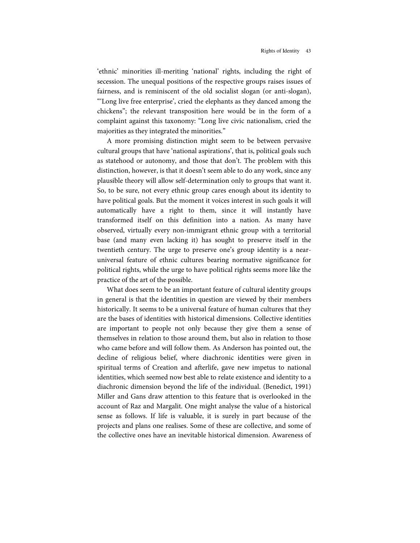'ethnic' minorities ill-meriting 'national' rights, including the right of secession. The unequal positions of the respective groups raises issues of fairness, and is reminiscent of the old socialist slogan (or anti-slogan), "'Long live free enterprise', cried the elephants as they danced among the chickens"; the relevant transposition here would be in the form of a complaint against this taxonomy: "Long live civic nationalism, cried the majorities as they integrated the minorities."

A more promising distinction might seem to be between pervasive cultural groups that have 'national aspirations', that is, political goals such as statehood or autonomy, and those that don't. The problem with this distinction, however, is that it doesn't seem able to do any work, since any plausible theory will allow self-determination only to groups that want it. So, to be sure, not every ethnic group cares enough about its identity to have political goals. But the moment it voices interest in such goals it will automatically have a right to them, since it will instantly have transformed itself on this definition into a nation. As many have observed, virtually every non-immigrant ethnic group with a territorial base (and many even lacking it) has sought to preserve itself in the twentieth century. The urge to preserve one's group identity is a nearuniversal feature of ethnic cultures bearing normative significance for political rights, while the urge to have political rights seems more like the practice of the art of the possible.

What does seem to be an important feature of cultural identity groups in general is that the identities in question are viewed by their members historically. It seems to be a universal feature of human cultures that they are the bases of identities with historical dimensions. Collective identities are important to people not only because they give them a sense of themselves in relation to those around them, but also in relation to those who came before and will follow them. As Anderson has pointed out, the decline of religious belief, where diachronic identities were given in spiritual terms of Creation and afterlife, gave new impetus to national identities, which seemed now best able to relate existence and identity to a diachronic dimension beyond the life of the individual. (Benedict, 1991) Miller and Gans draw attention to this feature that is overlooked in the account of Raz and Margalit. One might analyse the value of a historical sense as follows. If life is valuable, it is surely in part because of the projects and plans one realises. Some of these are collective, and some of the collective ones have an inevitable historical dimension. Aw areness of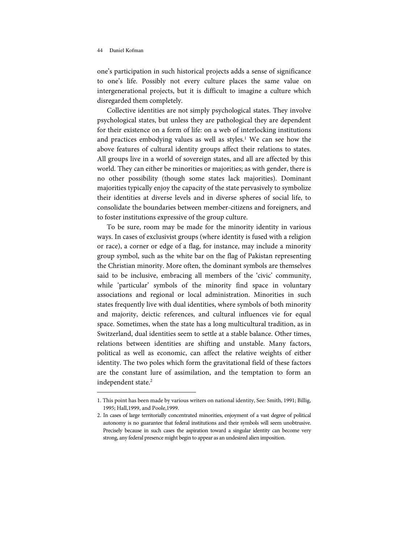l

one's participation in such historical projects adds a sense of significance to one's life. Possibly not every culture places the same value on intergenerational projects, but it is difficult to imagine a culture which disregarded them completely.

Collective identities are not simply psychological states. They involve psychological states, but unless they are pathological they are dependent for their existence on a form of life: on a web of interlocking institutions and practices embodying values as well as styles.<sup>1</sup> We can see how the above features of cultural identity groups affect their relations to states. All groups live in a world of sovereign states, and all are affected by this world. They can either be minorities or majorities; as with gender, there is no other possibility (though some states lack majorities). Dominant majorities typically enjoy the capacity of the state pervasively to symbolize their identities at diverse levels and in diverse spheres of social life, to consolidate the boundaries between member-citizens and foreigners, and to foster institutions expressive of the group culture.

To be sure, room may be made for the minority identity in various ways. In cases of exclusivist groups (where identity is fused with a religion or race), a corner or edge of a flag, for instance, may include a minority group symbol, such as the white bar on the flag of Pakistan representing the Christian minority. More often, the dominant symbols are themselves said to be inclusive, embracing all members of the 'civic' community, while 'particular' symbols of the minority find space in voluntary associations and regional or local administration. Minorities in such states frequently live with dual identities, where symbols of both minority and majority, deictic references, and cultural influences vie for equal space. Sometimes, when the state has a long multicultural tradition, as in Switzerland, dual identities seem to settle at a stable balance. Other times, relations between identities are shifting and unstable. Many factors, political as well as economic, can affect the relative weights of either identity. The two poles which form the gravitational field of these factors are the constant lure of assimilation, and the temptation to form an independent state. 2

<sup>1.</sup> This point has been made by various writers on national identity, See: Smith, 1991; Billig, 1995; Hall,1999, and Poole,1999.

<sup>2.</sup> In cases of large territorially concentrated minorities, enjoyment of a vast degree of political autonomy is no guarantee that federal institutions and their symbols will seem unobtrusive. Precisely because in such cases the aspiration toward a singular identity can become very strong, any federal presence might begin to appear as an undesired alien imposition.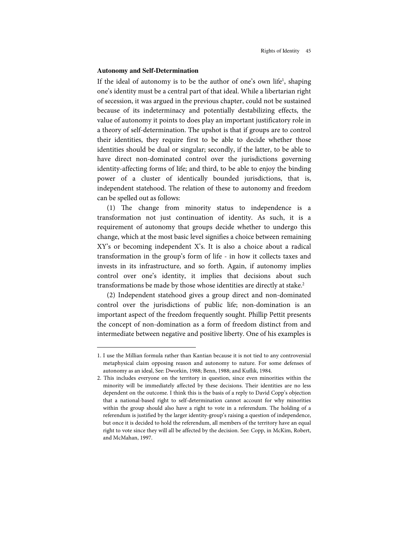# **Autonomy and Self-Determination**

j

If the ideal of autonomy is to be the author of one's own life<sup>1</sup>, shaping one's identity must be a central part of that ideal. While a libertarian right of secession, it was argued in the previous chapter, could not be sustained because of its indeterminacy and potentially destabilizing effects, the value of autonomy it points to does play an important justificatory role in a theory of self-determination. The upshot is that if groups are to control their identities, they require first to be able to decide whether those identities should be dual or singular; secondly, if the latter, to be able to have direct non-dominated control over the jurisdictions governing identity-affecting forms of life; and third, to be able to enjoy the binding power of a cluster of identically bounded jurisdictions, that is, independent statehood. The relation of these to autonomy and freedom can be spelled out as follows:

 $(1)$  The change from minority status to independence is a transformation not just continuation of identity. As such, it is a requirement of autonomy that groups decide whether to undergo this change, which at the most basic level signifies a choice between remaining XY's or becoming independent X's. It is also a choice about a radical transformation in the group's form of life - in how it collects taxes and invests in its infrastructure, and so forth. Again, if autonomy implies control over one's identity, it implies that decisions about such transformations be made by those whose identities are directly at stake.<sup>2</sup>

(2) Independent statehood gives a group direct and non-dominated control over the jurisdictions of public life; non-domination is an important aspect of the freedom frequently sought. Phillip Pettit presents the concept of non-domination as a form of freedom distinct from and intermediate between negative and positive liberty. One of his examples is

<sup>1.</sup> I use the Millian formula rather than Kantian because it is not tied to any controversial metaphysical claim opposing reason and autonomy to nature. For some defenses of autonomy as an ideal, See: Dworkin, 1988; Benn, 1988; and Kuflik, 1984.

<sup>2.</sup> This includes everyone on the territory in question, since even minorities within the minority will be immediately affected by these decisions. Their identities are no less dependent on the outcome. I think this is the basis of a reply to David Copp's objection that a national-based right to self-determination cannot account for why minorities within the group should also have a right to vote in a referendum. The holding of a referendum is justified by the larger identity-group's raising a question of independence, but once it is decided to hold the referendum, all members of the territory have an equal right to vote since they will all be affected by the decision. See: Copp, in McKim, Robert, and McMahan, 1997.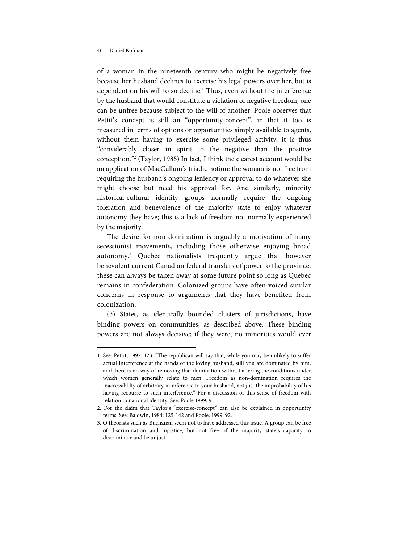j

of a woman in the nineteenth century who might be negatively free because her husband declines to exercise his legal powers over her, but is dependent on his will to so decline.<sup>1</sup> Thus, even without the interference by the husband that would constitute a violation of negative freedom, one can be unfree because subject to the will of another. Poole observes that Pettit's concept is still an "opportunity-concept", in that it too is measured in terms of options or opportunities simply available to agents, without them having to exercise some privileged activity; it is thus "considerably closer in spirit to the negative than the positive conception."<sup>2</sup> (Taylor, 1985) In fact, I think the clearest account would be an application of MacCullum's triadic notion: the woman is not free from requiring the husband's ongoing leniency or approval to do whatever she might choose but need his approval for. And similarly, minority historical-cultural identity groups normally require the ongoing toleration and benevolence of the majority state to enjoy whatever autonomy they have; this is a lack of freedom not normally experienced by the majority.

The desire for non-domination is arguably a motivation of many secessionist movements, including those otherwise enjoying broad autonomy.<sup>3</sup> Quebec nationalists frequently argue that however benevolent current Canadian federal transfers of power to the province, these can always be taken away at some future point so long as Quebec remains in confederation. Colonized groups have often voiced similar concerns in response to arguments that they have benefited from colonization.

(3) States, as identically bounded clusters of jurisdictions, have binding powers on communities, as described above. These binding powers are not always decisive; if they were, no minorities would ever

<sup>1.</sup> See: Pettit, 1997: 123. "The republican will say that, while you may be unlikely to suffer actual interference at the hands of the loving husband, still you are dominated by him, and there is no way of removing that domination without altering the conditions under which women generally relate to men. Freedom as non-domination requires the inaccessiblilty of arbitrary interference to your husband, not just the improbability of his having recourse to such interference." For a discussion of this sense of freedom with relation to national identity, See: Poole 1999: 91.

<sup>2.</sup> For the claim that Taylor's "exercise-concept" can also be explained in opportunity terms, See: Baldwin, 1984: 125-142 and Poole, 1999: 92.

<sup>3.</sup> O theorists such as Buchanan seem not to have addressed this issue. A group can be free of discrimination and injustice, but not free of the majority state's capacity to discriminate and be unjust.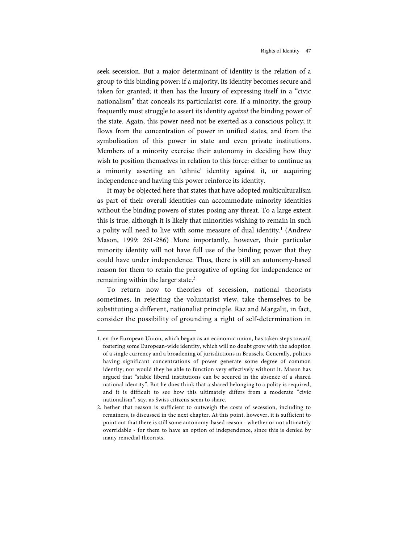seek secession. But a major determinant of identity is the relation of a group to this binding power: if a majority, its identity becomes secure and taken for granted; it then has the luxury of expressing itself in a "civic nationalism" that conceals its particularist core. If a minority, the group frequently must struggle to assert its identity against the binding power of the state. Again, this power need not be exerted as a conscious policy; it flows from the concentration of power in unified states, and from the symbolization of this power in state and even private institutions. Members of a minority exercise their autonomy in deciding how they wish to position themselves in relation to this force: either to continue as a minority asserting an 'ethnic' identity against it, or acquiring independence and having this power reinforce its identity.

It may be objected here that states that have adopted multiculturalism as part of their overall identities can accommodate minority identities without the binding powers of states posing any threat. To a large extent this is true, although it is likely that minorities wishing to remain in such a polity will need to live with some measure of dual identity.<sup>1</sup> (Andrew Mason, 1999: 261-286) More importantly, however, their particular minority identity will not have full use of the binding power that they could have under independence. Thus, there is still an autonomy-based reason for them to retain the prerogative of opting for independence or remaining within the larger state.<sup>2</sup>

To return now to theories of secession, national theorists sometimes, in rejecting the voluntarist view, take themselves to be substituting a different, nationalist principle. Raz and Margalit, in fact, consider the possibility of grounding a right of self-determination in

j

<sup>1.</sup> en the European Union, which began as an economic union, has taken steps toward fostering some European-wide identity, which will no doubt grow with the adoption of a single currency and a broadening of jurisdictions in Brussels. Generally, polities having significant concentrations of power generate some degree of common identity; nor would they be able to function very effectively without it. Mason has argued that "stable liberal institutions can be secured in the absence of a shared national identity". But he does think that a shared belonging to a polity is required, and it is difficult to see how this ultimately differs from a moderate "civic nationalism", say, as Swiss citizens seem to share.

<sup>2.</sup> hether that reason is sufficient to outweigh the costs of secession, including to remainers, is discussed in the next chapter. At this point, however, it is sufficient to point out that there is still some autonomy-based reason - whether or not ultimately overridable - for them to have an option of independence, since this is denied by many remedial theorists.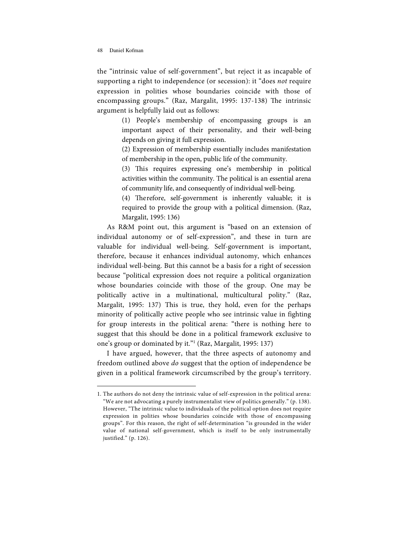l

the "intrinsic value of self-government", but reject it as incapable of supporting a right to independence (or secession): it "does not require expression in polities whose boundaries coincide with those of encompassing groups." (Raz, Margalit, 1995: 137-138) The intrinsic argument is helpfully laid out as follows:

> (1) People's membership of encompassing groups is an important aspect of their personality, and their well-being depends on giving it full expression.

> (2) Expression of membership essentially includes manifestation of membership in the open, public life of the community.

> (3) This requires expressing one's membership in political activities within the community. The political is an essential arena of community life, and consequently of individual well-being.

> (4) Therefore, self-government is inherently valuable; it is required to provide the group with a political dimension. (Raz, Margalit, 1995: 136)

As R&M point out, this argument is "based on an extension of individual autonomy or of self-expression", and these in turn are valuable for individual well-being. Self-government is important, therefore, because it enhances individual autonomy, which enhances individual well-being. But this cannot be a basis for a right of secession because "political expression does not require a political organization whose boundaries coincide with those of the group. One may be politically active in a multinational, multicultural polity." (Raz, Margalit, 1995: 137) This is true, they hold, even for the perhaps minority of politically active people who see intrinsic value in fighting for group interests in the political arena: "there is nothing here to suggest that this should be done in a political framework exclusive to one's group or dominated by it." 1 (Raz, Margalit, 1995: 137)

I have argued, however, that the three aspects of autonomy and freedom outlined above do suggest that the option of independence be given in a political framework circumscribed by the group's territory.

<sup>1.</sup> The authors do not deny the intrinsic value of self-expression in the political arena: "We are not advocating a purely instrumentalist view of politics generally." (p. 138). How ever, "The intrinsic value to individuals of the politicaloption does not require expression in polities whose boundaries coincide with those of encompassing groups". For this reason, the right of self-determination "is grounded in the wider value of national self-government, which is itself to be only instrumentally justified." (p. 126).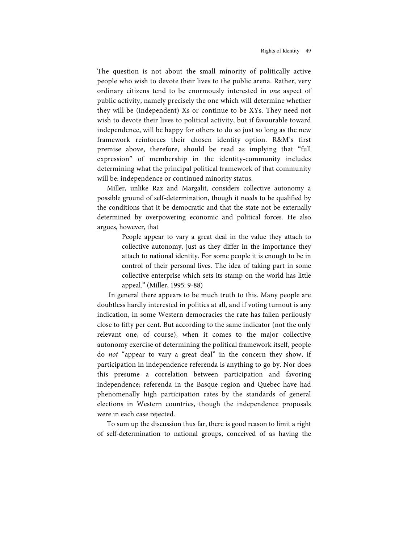The question is not about the small minority of politically active people who wish to devote their lives to the public arena. Rather, very ordinary citizens tend to be enormously interested in one aspect of public activity, namely precisely the one which will determine whether they will be (independent) Xs or continue to be XYs. They need not wish to devote their lives to political activity, but if favourable toward independence, will be happy for others to do so just so long as the new framework reinforces their chosen identity option. R&M's first premise above, therefore, should be read as implying that "full expression" of membership in the identity-community includes determining what the principal political framework of that community will be: independence or continued minority status.

Miller, unlike Raz and Margalit, considers collective autonomy a possible ground of self-determination, though it needs to be qualified by the conditions that it be democratic and that the state not be externally determined by overpowering economic and political forces. He also argues, however, that

> People appear to vary a great deal in the value they attach to collective autonomy, just as they differ in the importance they attach to national identity. For some people it is enough to be in control of their personal lives. The idea of taking part in some collective enterprise which sets its stamp on the world has little appeal." (Miller, 1995: 9-88)

In general there appears to be much truth to this. Many people are doubtless hardly interested in politics at all, and if voting turnout is any indication, in some Western democracies the rate has fallen perilously close to fifty per cent. But according to the same indicator (not the only relevant one, of course), when it comes to the major collective autonomy exercise of determining the political framework itself, people do not "appear to vary a great deal" in the concern they show, if participation in independence referenda is anything to go by. Nor does this presume a correlation between participation and favoring independence; referenda in the Basque region and Quebec have had phenomenally high participation rates by the standards of general elections in Western countries, though the independence proposals were in each case rejected.

To sum up the discussion thus far, there is good reason to limit a right of self-determination to national groups, conceived of as having the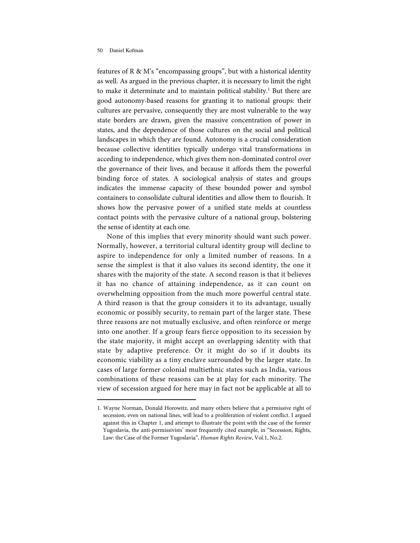l

features of R  $\&$  M's "encompassing groups", but with a historical identity as well. As argued in the previous chapter, it is necessary to limit the right to make it determinate and to maintain political stability.<sup>1</sup> But there are good autonomy-based reasons for granting it to national groups: their cultures are pervasive, consequently they are most vulnerable to the way state borders are drawn, given the massive concentration of power in states, and the dependence of those cultures on the social and political landscapes in which they are found. Autonomy is a crucial consideration because collective identities typically undergo vital transformations in acceding to independence, which gives them non-dominated control over the governance of their lives, and because it affords them the powerful binding force of states. A sociological analysis of states and groups indicates the immense capacity of these bounded power and symbol containers to consolidate cultural identities and allow them to flourish. It shows how the pervasive power of a unified state melds at countless contact points with the pervasive culture of a national group, bolstering the sense of identity at each one.

None of this implies that every minority should want such power. Normally, however, a territorial cultural identity group will decline to aspire to independence for only a limited number of reasons. In a sense the simplest is that it also values its second identity, the one it shares with the majority of the state. A second reason is that it believes it has no chance of attaining independence, as it can count on overwhelming opposition from the much more powerful central state. A third reason is that the group considers it to its advantage, usually economic or possibly security, to remain part of the larger state. These three reasons are not mutually exclusive, and often reinforce or merge into one another. If a group fears fierce opposition to its secession by the state majority, it might accept an overlapping identity with that state by adaptive preference. Or it might do so if it doubts its economic viability as a tiny enclave surrounded by the larger state. In cases of large former colonial multiethnic states such as India, various combinations of these reasons can be at play for each minority. The view of secession argued for here may in fact not be applicable at all to

<sup>1.</sup> Wayne Norman, Donald Horowitz, and many others believe that a permissive right of secession, even on national lines, will lead to a proliferation of violent conflict. I argued against this in Chapter 1, and attempt to illustrate the point with the case of the former Yugoslavia, the anti-permissivists' most frequently cited example, in "Secession, Rights, Law: the Case of the Former Yugoslavia", Human Rights Review, Vol.1, No.2.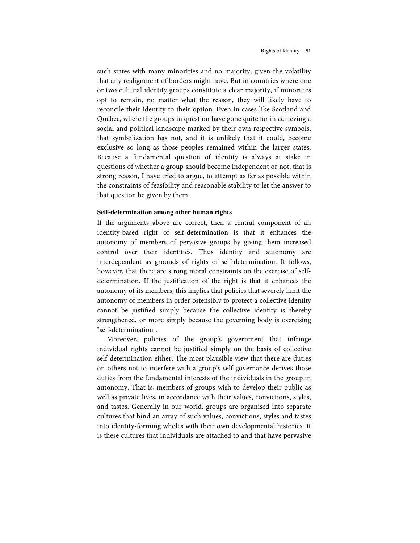such states with many minorities and no majority, given the volatility that any realignment of borders might have. But in countries where one or two cultural identity groups constitute a clear majority, if minorities opt to remain, no matter what the reason, they will likely have to reconcile their identity to their option. Even in cases like Scotland and Quebec, where the groups in question have gone quite far in achieving a social and political landscape marked by their own respective symbols, that symbolization has not, and it is unlikely that it could, become exclusive so long as those peoples remained within the larger states. Because a fundamental question of identity is always at stake in questions of whether a group should become independent or not, that is strong reason, I have tried to argue, to attempt as far as possible within the constraints of feasibility and reasonable stability to let the answer to that question be given by them.

# **Self-determination among other human rights**

If the arguments above are correct, then a central component of an identity-based right of self-determination is that it enhances the autonomy of members of pervasive groups by giving them increased control over their identities. Thus identity and autonomy are interdependent as grounds of rights of self-determination. It follows, however, that there are strong moral constraints on the exercise of selfdetermination. If the justification of the right is that it enhances the autonomy of its members, this implies that policies that severely limit the autonomy of members in order ostensibly to protect a collective identity cannot be justified simply because the collective identity is thereby strengthened, or more simply because the governing body is exercising "self-determination".

Moreover, policies of the group's government that infringe individual rights cannot be justified simply on the basis of collective self-determination either. The most plausible view that there are duties on others not to interfere with a group's self-governance derives those duties from the fundamental interests of the individuals in the group in autonomy. That is, members of groups wish to develop their public as well as private lives, in accordance with their values, convictions, styles, and tastes. Generally in our world, groups are organised into separate cultures that bind an array of such values, convictions, styles and tastes into identity-forming wholes with their own developmental histories. It is these cultures that individuals are attached to and that have pervasive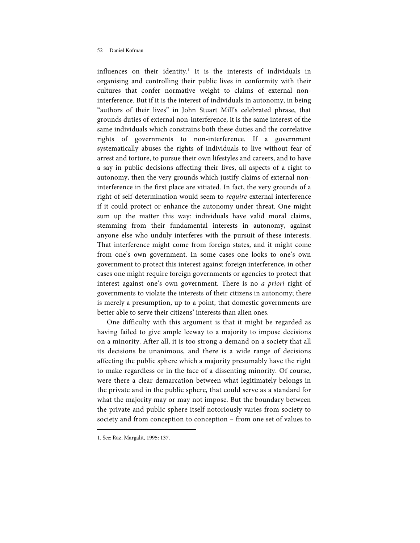influences on their identity. 1 It is the interests of individuals in organising and controlling their public lives in conformity with their cultures that confer normative weight to claims of external noninterference. But if it is the interest of individuals in autonomy, in being "authors of their lives" in John Stuart Mill's celebrated phrase, that grounds duties of external non-interference, it is the same interest of the same individuals which constrains both these duties and the correlative rights of governments to non-interference. If a government systematically abuses the rights of individuals to live without fear of arrest and torture, to pursue their own lifestyles and careers, and to have a say in public decisions affecting their lives, all aspects of a right to autonomy, then the very grounds which justify claims of external noninterference in the first place are vitiated. In fact, the very grounds of a right of self-determination would seem to *require* external interference if it could protect or enhance the autonomy under threat. One might sum up the matter this way: individuals have valid moral claims, stemming from their fundamental interests in autonomy, against anyone else who unduly interferes with the pursuit of these interests. That interference might come from foreign states, and it might come from one's own government. In some cases one looks to one's own government to protect this interest against foreign interference, in other cases one might require foreign governments or agencies to protect that interest against one's own government. There is no a priori right of governments to violate the interests of their citizens in autonomy; there is merely a presumption, up to a point, that domestic governments are better able to serve their citizens' interests than alien ones.

One difficulty with this argument is that it might be regarded as having failed to give ample leeway to a majority to impose decisions on a minority. After all, it is too strong a demand on a society that all its decisions be unanimous, and there is a wide range of decisions affecting the public sphere which a majority presumably have the right to make regardless or in the face of a dissenting minority. Of course, were there a clear demarcation between what legitimately belongs in the private and in the public sphere, that could serve as a standard for what the majority may or may not impose. But the boundary between the private and public sphere itself notoriously varies from society to society and from conception to conception – from one set of values to

l

<sup>1.</sup> See: Raz, Margalit, 1995: 137.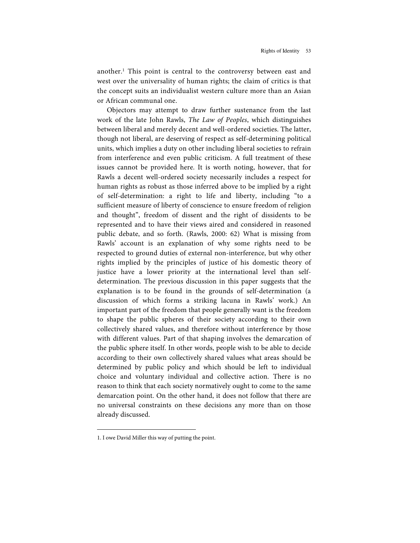another.<sup>1</sup> This point is central to the controversy between east and west over the universality of human rights; the claim of critics is that the concept suits an individualist western culture more than an Asian or African communal one.

Objectors may attempt to draw further sustenance from the last work of the late John Rawls, The Law of Peoples, which distinguishes between liberal and merely decent and well-ordered societies. The latter, though not liberal, are deserving of respect as self-determining political units, which implies a duty on other including liberal societies to refrain from interference and even public criticism. A full treatment of these issues cannot be provided here. It is worth noting, however, that for Rawls a decent well-ordered society necessarily includes a respect for human rights as robust as those inferred above to be implied by a right of self-determination: a right to life and liberty, including "to a sufficient measure of liberty of conscience to ensure freedom of religion and thought", freedom of dissent and the right of dissidents to be represented and to have their views aired and considered in reasoned public debate, and so forth. (Rawls, 2000: 62) What is missing from Rawls' account is an explanation of why some rights need to be respected to ground duties of external non-interference, but why other rights implied by the principles of justice of his domestic theory of justice have a lower priority at the international level than selfdetermination. The previous discussion in this paper suggests that the explanation is to be found in the grounds of self-determination (a discussion of which forms a striking lacuna in Rawls' work.) An important part of the freedom that people generally want is the freedom to shape the public spheres of their society according to their own collectively shared values, and therefore without interference by those with different values. Part of that shaping involves the demarcation of the public sphere itself. In other words, people wish to be able to decide according to their own collectively shared values what areas should be determined by public policy and which should be left to individual choice and voluntary individual and collective action. There is no reason to think that each society normatively ought to come to the same demarcation point. On the other hand, it does not follow that there are no universal constraints on these decisions any more than on those already discussed.

l

<sup>1.</sup> I owe David Miller this way of putting the point.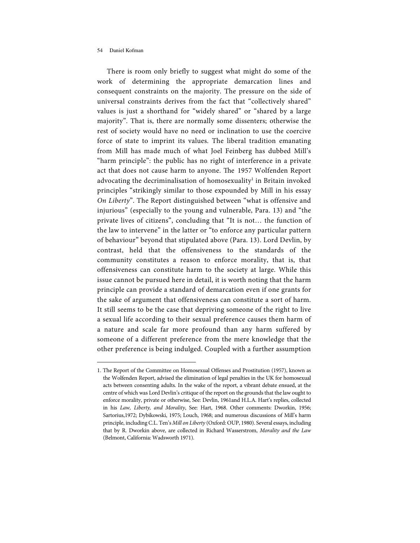l

There is room only briefly to suggest what might do some of the work of determining the appropriate demarcation lines and consequent constraints on the majority. The pressure on the side of universal constraints derives from the fact that "collectively shared" values is just a shorthand for "widely shared" or "shared by a large majority". That is, there are normally some dissenters; otherwise the rest of society would have no need or inclination to use the coercive force of state to imprint its values. The liberal tradition emanating from Mill has made much of what Joel Feinberg has dubbed Mill's "harm principle": the public has no right of interference in a private act that does not cause harm to anyone. The 1957 Wolfenden Report advocating the decriminalisation of homosexuality 1 in Britain invoked principles "strikingly similar to those expounded by Mill in his essay On Liberty". The Report distinguished between "what is offensive and injurious" (especially to the young and vulnerable, Para. 13) and "the private lives of citizens", concluding that "It is not… the function of the law to intervene" in the latter or "to enforce any particular pattern of behaviour" beyond that stipulated above (Para. 13). Lord Devlin, by contrast, held that the offensiveness to the standards of the community constitutes a reason to enforce morality, that is, that offensiveness can constitute harm to the society at large. While this issue cannot be pursued here in detail, it is worth noting that the harm principle can provide a standard of demarcation even if one grants for the sake of argument that offensiveness can constitute a sort of harm. It still seems to be the case that depriving someone of the right to live a sexual life according to their sexual preference causes them harm of a nature and scale far more profound than any harm suffered by someone of a different preference from the mere knowledge that the other preference is being indulged. Coupled with a further assumption

<sup>1.</sup> The Report of the Committee on Homosexual Offenses and Prostitution (1957), known as the Wolfenden Report, advised the elimination of legal penalties in the UK for homosexual acts between consenting adults. In the wake of the report, a vibrant debate ensued, at the centre of which was Lord Devlin's critique of the report on the grounds that the law ought to enforce morality, private or otherwise, See: Devlin, 1961and H.L.A. Hart's replies, collected in his Law, Liberty, and Morality, See: Hart, 1968. Other comments: Dworkin, 1956; Sartorius,1972; Dybikowski, 1975; Louch, 1968; and numerous discussions of Mill's harm principle, including C.L. Ten's Mill on Liberty (Oxford: OUP, 1980). Several essays, including that by R. Dworkin above, are collected in Richard Wasserstrom, Morality and the Law (Belmont, California: Wadsworth 1971).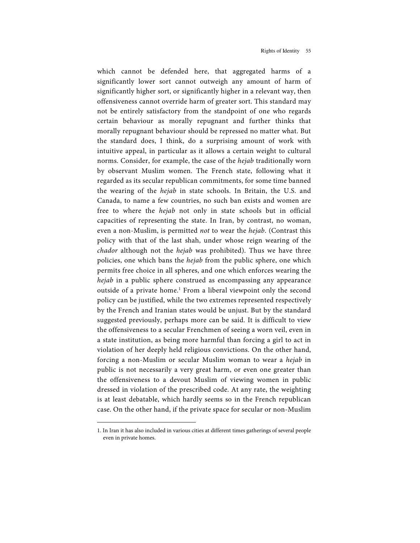which cannot be defended here, that aggregated harms of a significantly lower sort cannot outweigh any amount of harm of significantly higher sort, or significantly higher in a relevant way, then offensiveness cannot override harm of greater sort. This standard may not be entirely satisfactory from the standpoint of one who regards certain behaviour as morally repugnant and further thinks that morally repugnant behaviour should be repressed no matter what. But the standard does, I think, do a surprising amount of work with intuitive appeal, in particular as it allows a certain weight to cultural norms. Consider, for example, the case of the *hejab* traditionally worn by observant Muslim women. The French state, following what it regarded as its secular republican commitments, for some time banned the wearing of the *hejab* in state schools. In Britain, the U.S. and Canada, to name a few countries, no such ban exists and women are free to where the hejab not only in state schools but in official capacities of representing the state. In Iran, by contrast, no woman, even a non-Muslim, is permitted not to wear the hejab. (Contrast this policy with that of the last shah, under whose reign wearing of the chador although not the hejab was prohibited). Thus we have three policies, one which bans the *hejab* from the public sphere, one which permits free choice in all spheres, and one which enforces wearing the hejab in a public sphere construed as encompassing any appearance outside of a private home.<sup>1</sup> From a liberal viewpoint only the second policy can be justified, while the two extremes represented respectively by the French and Iranian states would be unjust. But by the standard suggested previously, perhaps more can be said. It is difficult to view the offensiveness to a secular Frenchmen of seeing a worn veil, even in a state institution, as being more harmful than forcing a girl to act in violation of her deeply held religious convictions. On the other hand, forcing a non-Muslim or secular Muslim woman to wear a *hejab* in public is not necessarily a very great harm, or even one greater than the offensiveness to a devout Muslim of viewing women in public dressed in violation of the prescribed code. At any rate, the weighting is at least debatable, which hardly seems so in the French republican case. On the other hand, if the private space for secular or non-Muslim

l

<sup>1.</sup> In Iran it has also included in various cities at different times gatherings of several people even in private homes.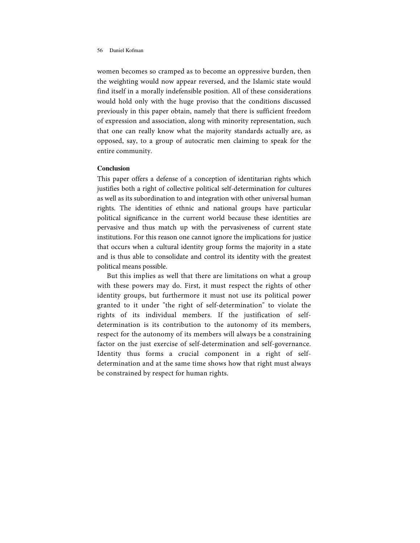women becomes so cramped as to become an oppressive burden, then the weighting would now appear reversed, and the Islamic state would find itself in a morally indefensible position. All of these considerations would hold only with the huge proviso that the conditions discussed previously in this paper obtain, namely that there is sufficient freedom of expression and association, along with minority representation, such that one can really know what the majority standards actually are, as opposed, say, to a group of autocratic men claiming to speak for the entire community.

# **Conclusion**

This paper offers a defense of a conception of identitarian rights which justifies both a right of collective political self-determination for cultures as well as its subordination to and integration with other universal human rights. The identities of ethnic and national groups have particular political significance in the current world because these identities are pervasive and thus match up with the pervasiveness of current state institutions. For this reason one cannot ignore the implications for justice that occurs when a cultural identity group forms the majority in a state and is thus able to consolidate and control its identity with the greatest political means possible.

But this implies as well that there are limitations on what a group with these powers may do. First, it must respect the rights of other identity groups, but furthermore it must not use its political power granted to it under "the right of self-determination" to violate the rights of its individual members. If the justification of selfdetermination is its contribution to the autonomy of its members, respect for the autonomy of its members will always be a constraining factor on the just exercise of self-determination and self-governance. Identity thus forms a crucial component in a right of selfdetermination and at the same time shows how that right must always be constrained by respect for human rights.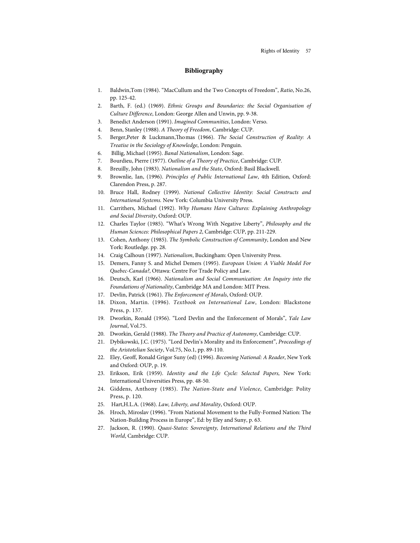# **Bibliography**

- 1. Baldwin,Tom (1984). "MacCullum and the Two Concepts of Freedom", Ratio, No.26, pp. 125-42.
- 2. Barth, F. (ed.) (1969). Ethnic Groups and Boundaries: the Social Organisation of Culture Difference, London: George Allen and Unwin, pp. 9-38.
- 3. Benedict Anderson (1991). Imagined Communities, London: Verso.
- 4. Benn, Stanley (1988). A Theory of Freedom, Cambridge: CUP.
- 5. Berger,Peter & Luckmann,Thomas (1966). The Social Construction of Reality: A Treatise in the Sociology of Knowledge, London: Penguin.
- 6. Billig, Michael (1995). Banal Nationalism, London: Sage.
- 7. Bourdieu, Pierre (1977). Outline of a Theory of Practice, Cambridge: CUP.
- 8. Breuilly, John (1983). Nationalism and the State, Oxford: Basil Blackwell.
- 9. Brownlie, Ian, (1996). Principles of Public International Law, 4th Edition, Oxford: Clarendon Press, p. 287.
- 10. Bruce Hall, Rodney (1999). National Collective Identity: Social Constructs and International Systems. New York: Columbia University Press.
- 11. Carrithers, Michael (1992). Why Humans Have Cultures: Explaining Anthropology and Social Diversity, Oxford: OUP.
- 12. Charles Taylor (1985). "What's Wrong With Negative Liberty", Philosophy and the Human Sciences: Philosophical Papers 2, Cambridge: CUP, pp. 211-229.
- 13. Cohen, Anthony (1985). The Symbolic Construction of Community, London and New York: Routledge. pp. 28.
- 14. Craig Calhoun (1997). Nationalism, Buckingham: Open University Press.
- 15. Demers, Fanny S. and Michel Demers (1995). European Union: A Viable Model For Quebec-Canada?, Ottawa: Centre For Trade Policy and Law.
- 16. Deutsch, Karl (1966). Nationalism and Social Communication: An Inquiry into the Foundations of Nationality, Cambridge MA and London: MIT Press.
- 17. Devlin, Patrick (1961). The Enforcement of Morals, Oxford: OUP.
- 18. Dixon, Martin. (1996). Textbook on International Law, London: Blackstone Press, p. 137.
- 19. Dworkin, Ronald (1956). "Lord Devlin and the Enforcement of Morals", Yale Law Journal, Vol.75.
- 20. Dworkin, Gerald (1988). The Theory and Practice of Autonomy, Cambridge: CUP.
- 21. Dybikow ski, J.C. (1975). "Lord Devlin's Morality and its Enforcement", Proceedings of the Aristotelian Society, Vol.75, No.1, pp. 89-110.
- 22. Eley, Geoff, Ronald Grigor Suny (ed) (1996). Becoming National: A Reader, New York and Oxford: OUP, p. 19.
- 23. Erikson, Erik (1959). Identity and the Life Cycle: Selected Papers, New York: International Universities Press, pp. 48-50.
- 24. Giddens, Anthony (1985). The Nation-State and Violence, Cambridge: Polity Press, p. 120.
- 25. Hart, H.L.A. (1968). Law, Liberty, and Morality, Oxford: OUP.
- 26. Hroch, Miroslav (1996). "From National Movement to the Fully-Formed Nation: The Nation-Building Process in Europe", Ed: by Eley and Suny, p. 63.
- 27. Jackson, R. (1990). Quasi-States: Sovereignty, International Relations and the Third World, Cambridge: CUP.